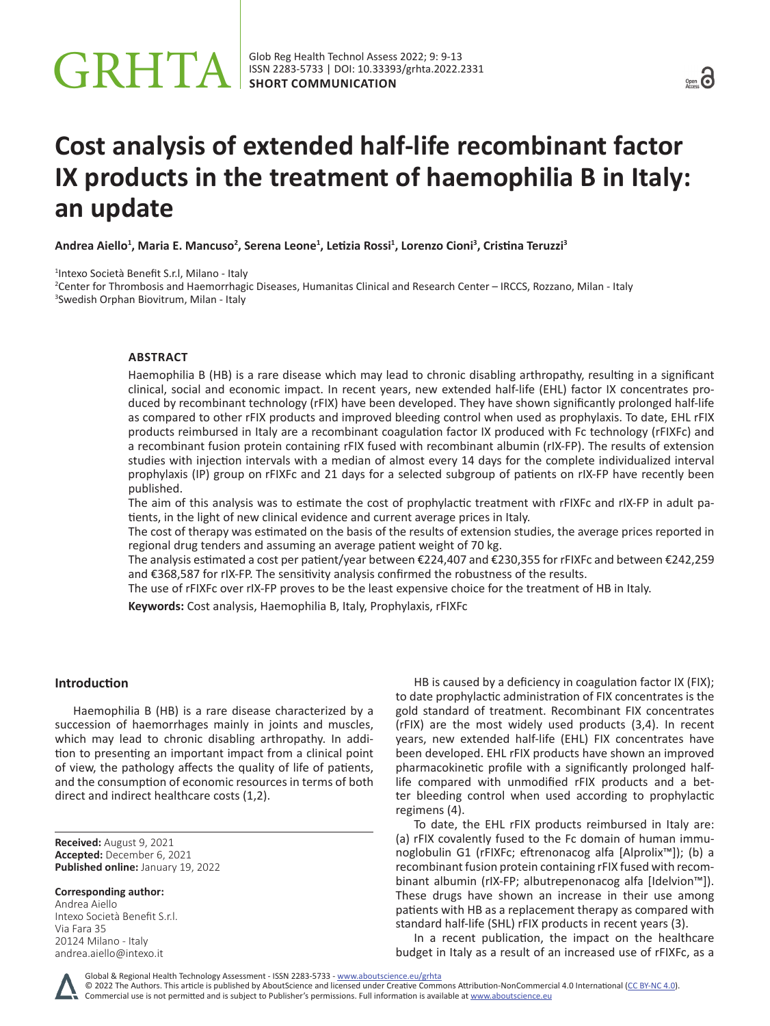# Glob Reg Health Technol Assess 2022; 9: 9-13<br>SHORT COMMUNICATION



# **Cost analysis of extended half-life recombinant factor IX products in the treatment of haemophilia B in Italy: an update**

**Andrea Aiello1 , Maria E. Mancuso2 , Serena Leone1 , Letizia Rossi<sup>1</sup> , Lorenzo Cioni<sup>3</sup> , Cristina Teruzzi<sup>3</sup>**

1 Intexo Società Benefit S.r.l, Milano - Italy

2 Center for Thrombosis and Haemorrhagic Diseases, Humanitas Clinical and Research Center – IRCCS, Rozzano, Milan - Italy 3 Swedish Orphan Biovitrum, Milan - Italy

## **ABSTRACT**

Haemophilia B (HB) is a rare disease which may lead to chronic disabling arthropathy, resulting in a significant clinical, social and economic impact. In recent years, new extended half-life (EHL) factor IX concentrates produced by recombinant technology (rFIX) have been developed. They have shown significantly prolonged half-life as compared to other rFIX products and improved bleeding control when used as prophylaxis. To date, EHL rFIX products reimbursed in Italy are a recombinant coagulation factor IX produced with Fc technology (rFIXFc) and a recombinant fusion protein containing rFIX fused with recombinant albumin (rIX-FP). The results of extension studies with injection intervals with a median of almost every 14 days for the complete individualized interval prophylaxis (IP) group on rFIXFc and 21 days for a selected subgroup of patients on rIX-FP have recently been published.

The aim of this analysis was to estimate the cost of prophylactic treatment with rFIXFc and rIX-FP in adult patients, in the light of new clinical evidence and current average prices in Italy.

The cost of therapy was estimated on the basis of the results of extension studies, the average prices reported in regional drug tenders and assuming an average patient weight of 70 kg.

The analysis estimated a cost per patient/year between €224,407 and €230,355 for rFIXFc and between €242,259 and €368,587 for rIX-FP. The sensitivity analysis confirmed the robustness of the results.

The use of rFIXFc over rIX-FP proves to be the least expensive choice for the treatment of HB in Italy.

**Keywords:** Cost analysis, Haemophilia B, Italy, Prophylaxis, rFIXFc

## **Introduction**

Haemophilia B (HB) is a rare disease characterized by a succession of haemorrhages mainly in joints and muscles, which may lead to chronic disabling arthropathy. In addition to presenting an important impact from a clinical point of view, the pathology affects the quality of life of patients, and the consumption of economic resources in terms of both direct and indirect healthcare costs (1,2).

**Received:** August 9, 2021 **Accepted:** December 6, 2021 **Published online:** January 19, 2022

#### **Corresponding author:**

Andrea Aiello Intexo Società Benefit S.r.l. Via Fara 35 20124 Milano - Italy [andrea.aiello@intexo.it](mailto:andrea.aiello@intexo.it)

HB is caused by a deficiency in coagulation factor IX (FIX); to date prophylactic administration of FIX concentrates is the gold standard of treatment. Recombinant FIX concentrates (rFIX) are the most widely used products (3,4). In recent years, new extended half-life (EHL) FIX concentrates have been developed. EHL rFIX products have shown an improved pharmacokinetic profile with a significantly prolonged halflife compared with unmodified rFIX products and a better bleeding control when used according to prophylactic regimens (4).

To date, the EHL rFIX products reimbursed in Italy are: (a) rFIX covalently fused to the Fc domain of human immunoglobulin G1 (rFIXFc; eftrenonacog alfa [Alprolix™]); (b) a recombinant fusion protein containing rFIX fused with recombinant albumin (rIX-FP; albutrepenonacog alfa [Idelvion™]). These drugs have shown an increase in their use among patients with HB as a replacement therapy as compared with standard half-life (SHL) rFIX products in recent years (3).

In a recent publication, the impact on the healthcare budget in Italy as a result of an increased use of rFIXFc, as a

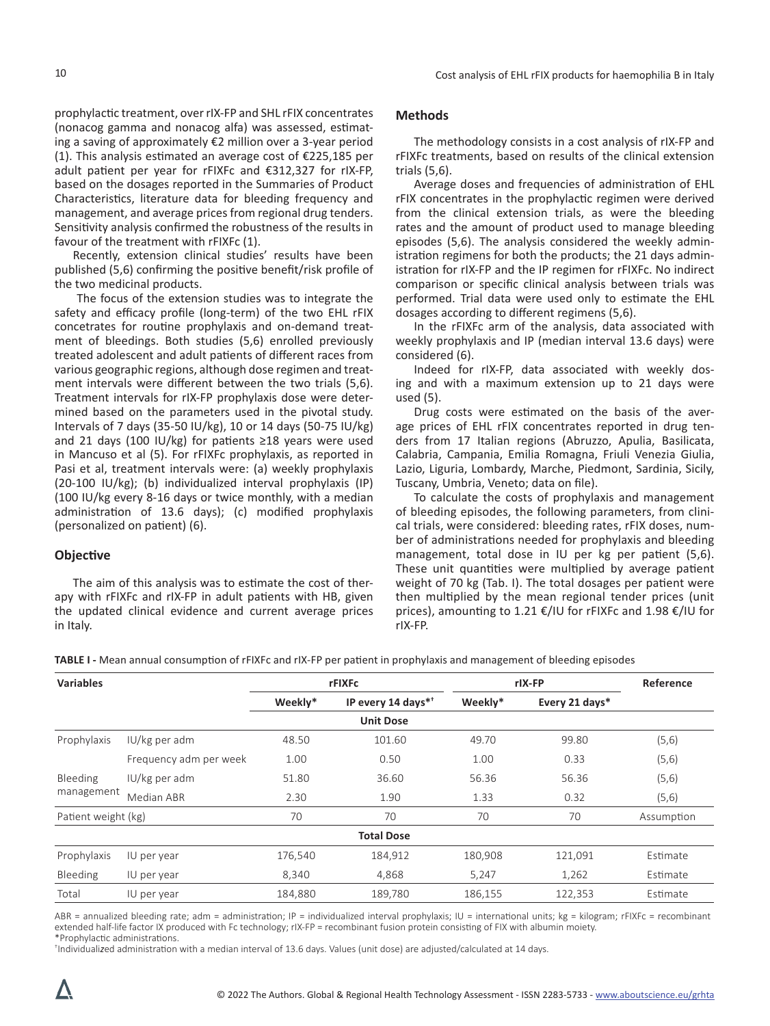prophylactic treatment, over rIX-FP and SHL rFIX concentrates (nonacog gamma and nonacog alfa) was assessed, estimating a saving of approximately €2 million over a 3-year period (1). This analysis estimated an average cost of €225,185 per adult patient per year for rFIXFc and €312,327 for rIX-FP, based on the dosages reported in the Summaries of Product Characteristics, literature data for bleeding frequency and management, and average prices from regional drug tenders. Sensitivity analysis confirmed the robustness of the results in favour of the treatment with rFIXFc (1).

Recently, extension clinical studies' results have been published (5,6) confirming the positive benefit/risk profile of the two medicinal products.

 The focus of the extension studies was to integrate the safety and efficacy profile (long-term) of the two EHL rFIX concetrates for routine prophylaxis and on-demand treatment of bleedings. Both studies (5,6) enrolled previously treated adolescent and adult patients of different races from various geographic regions, although dose regimen and treatment intervals were different between the two trials (5,6). Treatment intervals for rIX-FP prophylaxis dose were determined based on the parameters used in the pivotal study. Intervals of 7 days (35-50 IU/kg), 10 or 14 days (50-75 IU/kg) and 21 days (100 IU/kg) for patients ≥18 years were used in Mancuso et al (5). For rFIXFc prophylaxis, as reported in Pasi et al, treatment intervals were: (a) weekly prophylaxis (20-100 IU/kg); (b) individualized interval prophylaxis (IP) (100 IU/kg every 8-16 days or twice monthly, with a median administration of 13.6 days); (c) modified prophylaxis (personalized on patient) (6).

#### **Objective**

The aim of this analysis was to estimate the cost of therapy with rFIXFc and rIX-FP in adult patients with HB, given the updated clinical evidence and current average prices in Italy.

# **Methods**

The methodology consists in a cost analysis of rIX-FP and rFIXFc treatments, based on results of the clinical extension trials (5,6).

Average doses and frequencies of administration of EHL rFIX concentrates in the prophylactic regimen were derived from the clinical extension trials, as were the bleeding rates and the amount of product used to manage bleeding episodes (5,6). The analysis considered the weekly administration regimens for both the products; the 21 days administration for rIX-FP and the IP regimen for rFIXFc. No indirect comparison or specific clinical analysis between trials was performed. Trial data were used only to estimate the EHL dosages according to different regimens (5,6).

In the rFIXFc arm of the analysis, data associated with weekly prophylaxis and IP (median interval 13.6 days) were considered (6).

Indeed for rIX-FP, data associated with weekly dosing and with a maximum extension up to 21 days were used (5).

Drug costs were estimated on the basis of the average prices of EHL rFIX concentrates reported in drug tenders from 17 Italian regions (Abruzzo, Apulia, Basilicata, Calabria, Campania, Emilia Romagna, Friuli Venezia Giulia, Lazio, Liguria, Lombardy, Marche, Piedmont, Sardinia, Sicily, Tuscany, Umbria, Veneto; data on file).

To calculate the costs of prophylaxis and management of bleeding episodes, the following parameters, from clinical trials, were considered: bleeding rates, rFIX doses, number of administrations needed for prophylaxis and bleeding management, total dose in IU per kg per patient (5,6). These unit quantities were multiplied by average patient weight of 70 kg (Tab. I). The total dosages per patient were then multiplied by the mean regional tender prices (unit prices), amounting to 1.21 €/IU for rFIXFc and 1.98 €/IU for rIX-FP.

**TABLE I -** Mean annual consumption of rFIXFc and rIX-FP per patient in prophylaxis and management of bleeding episodes

| <b>Variables</b>       |                        | rFIXFc  |                                | rlX-FP  |                | Reference  |
|------------------------|------------------------|---------|--------------------------------|---------|----------------|------------|
|                        |                        | Weekly* | IP every 14 days* <sup>*</sup> | Weekly* | Every 21 days* |            |
|                        |                        |         | <b>Unit Dose</b>               |         |                |            |
| Prophylaxis            | IU/kg per adm          | 48.50   | 101.60                         | 49.70   | 99.80          | (5,6)      |
|                        | Frequency adm per week | 1.00    | 0.50                           | 1.00    | 0.33           | (5,6)      |
| Bleeding<br>management | IU/kg per adm          | 51.80   | 36.60                          | 56.36   | 56.36          | (5,6)      |
|                        | Median ABR             | 2.30    | 1.90                           | 1.33    | 0.32           | (5,6)      |
| Patient weight (kg)    |                        | 70      | 70                             | 70      | 70             | Assumption |
|                        |                        |         | <b>Total Dose</b>              |         |                |            |
| Prophylaxis            | IU per year            | 176,540 | 184,912                        | 180,908 | 121,091        | Estimate   |
| Bleeding               | IU per year            | 8,340   | 4,868                          | 5,247   | 1,262          | Estimate   |
| Total                  | IU per year            | 184,880 | 189,780                        | 186,155 | 122,353        | Estimate   |

ABR = annualized bleeding rate; adm = administration; IP = individualized interval prophylaxis; IU = international units; kg = kilogram; rFIXFc = recombinant extended half-life factor IX produced with Fc technology; rIX-FP = recombinant fusion protein consisting of FIX with albumin moiety. \*Prophylactic administrations.

† Individuali*z*ed administration with a median interval of 13.6 days. Values (unit dose) are adjusted/calculated at 14 days.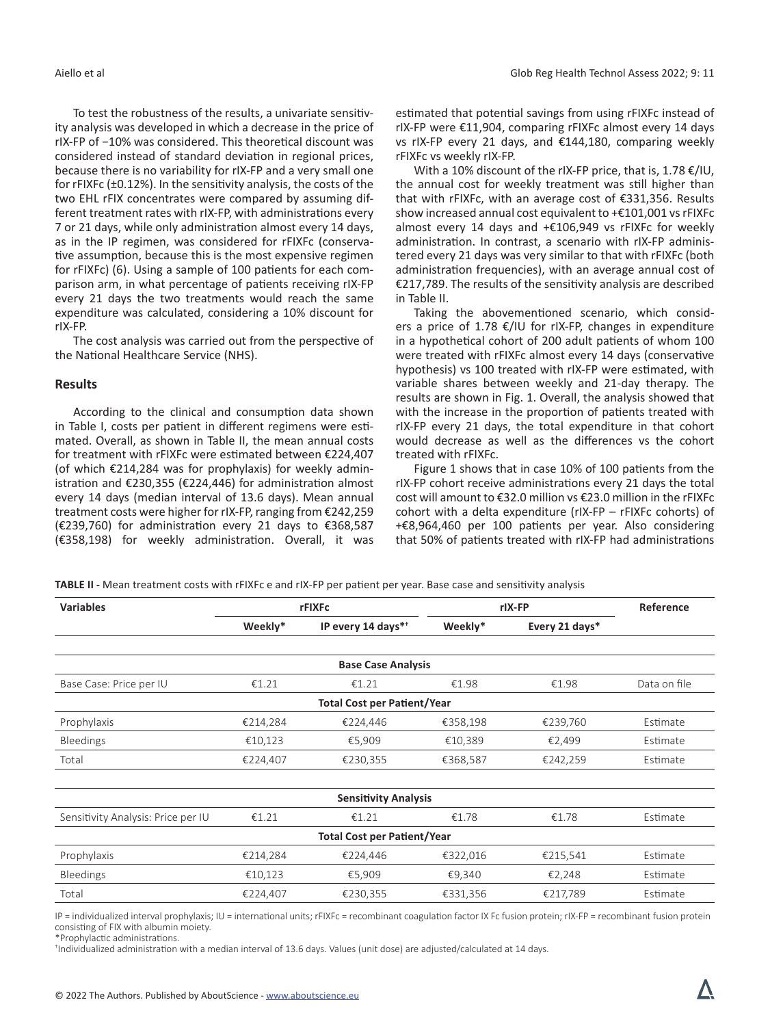To test the robustness of the results, a univariate sensitivity analysis was developed in which a decrease in the price of rIX-FP of −10% was considered. This theoretical discount was considered instead of standard deviation in regional prices, because there is no variability for rIX-FP and a very small one for rFIXFc (±0.12%). In the sensitivity analysis, the costs of the two EHL rFIX concentrates were compared by assuming different treatment rates with rIX-FP, with administrations every 7 or 21 days, while only administration almost every 14 days, as in the IP regimen, was considered for rFIXFc (conservative assumption, because this is the most expensive regimen for rFIXFc) (6). Using a sample of 100 patients for each comparison arm, in what percentage of patients receiving rIX-FP every 21 days the two treatments would reach the same expenditure was calculated, considering a 10% discount for rIX-FP.

The cost analysis was carried out from the perspective of the National Healthcare Service (NHS).

#### **Results**

According to the clinical and consumption data shown in Table I, costs per patient in different regimens were estimated. Overall, as shown in Table II, the mean annual costs for treatment with rFIXFc were estimated between €224,407 (of which €214,284 was for prophylaxis) for weekly administration and €230,355 (€224,446) for administration almost every 14 days (median interval of 13.6 days). Mean annual treatment costs were higher for rIX-FP, ranging from €242,259 (€239,760) for administration every 21 days to €368,587 (€358,198) for weekly administration. Overall, it was

estimated that potential savings from using rFIXFc instead of rIX-FP were €11,904, comparing rFIXFc almost every 14 days vs rIX-FP every 21 days, and €144,180, comparing weekly rFIXFc vs weekly rIX-FP.

With a 10% discount of the rIX-FP price, that is, 1.78 €/IU, the annual cost for weekly treatment was still higher than that with rFIXFc, with an average cost of €331,356. Results show increased annual cost equivalent to +€101,001 vs rFIXFc almost every 14 days and +€106,949 vs rFIXFc for weekly administration. In contrast, a scenario with rIX-FP administered every 21 days was very similar to that with rFIXFc (both administration frequencies), with an average annual cost of €217,789. The results of the sensitivity analysis are described in Table II.

Taking the abovementioned scenario, which considers a price of 1.78 €/IU for rIX-FP, changes in expenditure in a hypothetical cohort of 200 adult patients of whom 100 were treated with rFIXFc almost every 14 days (conservative hypothesis) vs 100 treated with rIX-FP were estimated, with variable shares between weekly and 21-day therapy. The results are shown in Fig. 1. Overall, the analysis showed that with the increase in the proportion of patients treated with rIX-FP every 21 days, the total expenditure in that cohort would decrease as well as the differences vs the cohort treated with rFIXFc.

Figure 1 shows that in case 10% of 100 patients from the rIX-FP cohort receive administrations every 21 days the total cost will amount to €32.0 million vs €23.0 million in the rFIXFc cohort with a delta expenditure (rIX-FP – rFIXFc cohorts) of +€8,964,460 per 100 patients per year. Also considering that 50% of patients treated with rIX-FP had administrations

**TABLE II -** Mean treatment costs with rFIXFc e and rIX-FP per patient per year. Base case and sensitivity analysis

| <b>Variables</b>                   | rFIXFc   |                    | rlX-FP   |                | Reference    |  |  |  |  |
|------------------------------------|----------|--------------------|----------|----------------|--------------|--|--|--|--|
|                                    | Weekly*  | IP every 14 days** | Weekly*  | Every 21 days* |              |  |  |  |  |
|                                    |          |                    |          |                |              |  |  |  |  |
| <b>Base Case Analysis</b>          |          |                    |          |                |              |  |  |  |  |
| Base Case: Price per IU            | €1.21    | €1.21              | €1.98    | €1.98          | Data on file |  |  |  |  |
| <b>Total Cost per Patient/Year</b> |          |                    |          |                |              |  |  |  |  |
| Prophylaxis                        | €214,284 | €224,446           | €358,198 | €239,760       | Estimate     |  |  |  |  |
| Bleedings                          | €10,123  | €5,909             | €10,389  | €2,499         | Estimate     |  |  |  |  |
| Total                              | €224,407 | €230,355           | €368,587 | €242,259       | Estimate     |  |  |  |  |
|                                    |          |                    |          |                |              |  |  |  |  |
| <b>Sensitivity Analysis</b>        |          |                    |          |                |              |  |  |  |  |
| Sensitivity Analysis: Price per IU | €1.21    | €1.21              | €1.78    | €1.78          | Estimate     |  |  |  |  |
| <b>Total Cost per Patient/Year</b> |          |                    |          |                |              |  |  |  |  |
| Prophylaxis                        | €214,284 | €224,446           | €322,016 | €215,541       | Estimate     |  |  |  |  |
| Bleedings                          | €10,123  | €5,909             | €9,340   | €2,248         | Estimate     |  |  |  |  |
| Total                              | €224,407 | €230,355           | €331,356 | €217,789       | Estimate     |  |  |  |  |

IP = individualized interval prophylaxis; IU = international units; rFIXFc = recombinant coagulation factor IX Fc fusion protein; rIX-FP = recombinant fusion protein consisting of FIX with albumin moiety.

\*Prophylactic administrations.

† Individualized administration with a median interval of 13.6 days. Values (unit dose) are adjusted/calculated at 14 days.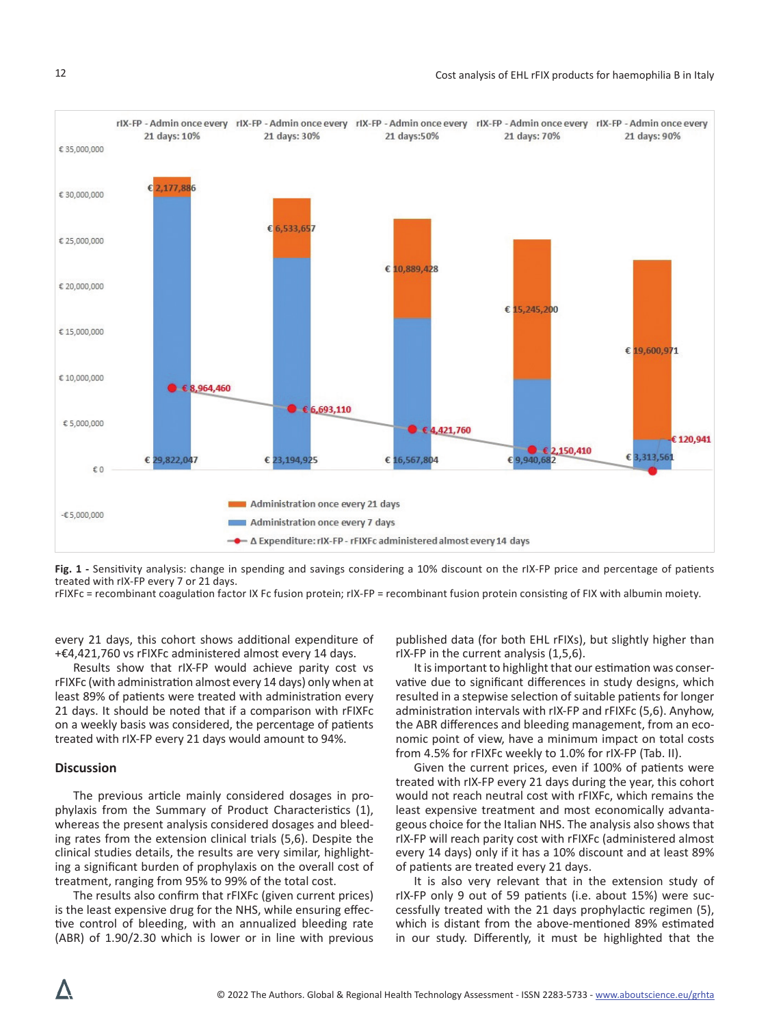

**Fig. 1 -** Sensitivity analysis: change in spending and savings considering a 10% discount on the rIX-FP price and percentage of patients treated with rIX-FP every 7 or 21 days.

rFIXFc = recombinant coagulation factor IX Fc fusion protein; rIX-FP = recombinant fusion protein consisting of FIX with albumin moiety.

every 21 days, this cohort shows additional expenditure of +€4,421,760 vs rFIXFc administered almost every 14 days.

Results show that rIX-FP would achieve parity cost vs rFIXFc (with administration almost every 14 days) only when at least 89% of patients were treated with administration every 21 days. It should be noted that if a comparison with rFIXFc on a weekly basis was considered, the percentage of patients treated with rIX-FP every 21 days would amount to 94%.

#### **Discussion**

The previous article mainly considered dosages in prophylaxis from the Summary of Product Characteristics (1), whereas the present analysis considered dosages and bleeding rates from the extension clinical trials (5,6). Despite the clinical studies details, the results are very similar, highlighting a significant burden of prophylaxis on the overall cost of treatment, ranging from 95% to 99% of the total cost.

The results also confirm that rFIXFc (given current prices) is the least expensive drug for the NHS, while ensuring effective control of bleeding, with an annualized bleeding rate (ABR) of 1.90/2.30 which is lower or in line with previous published data (for both EHL rFIXs), but slightly higher than rIX-FP in the current analysis (1,5,6).

It is important to highlight that our estimation was conservative due to significant differences in study designs, which resulted in a stepwise selection of suitable patients for longer administration intervals with rIX-FP and rFIXFc (5,6). Anyhow, the ABR differences and bleeding management, from an economic point of view, have a minimum impact on total costs from 4.5% for rFIXFc weekly to 1.0% for rIX-FP (Tab. II).

Given the current prices, even if 100% of patients were treated with rIX-FP every 21 days during the year, this cohort would not reach neutral cost with rFIXFc, which remains the least expensive treatment and most economically advantageous choice for the Italian NHS. The analysis also shows that rIX-FP will reach parity cost with rFIXFc (administered almost every 14 days) only if it has a 10% discount and at least 89% of patients are treated every 21 days.

It is also very relevant that in the extension study of rIX-FP only 9 out of 59 patients (i.e. about 15%) were successfully treated with the 21 days prophylactic regimen (5), which is distant from the above-mentioned 89% estimated in our study. Differently, it must be highlighted that the